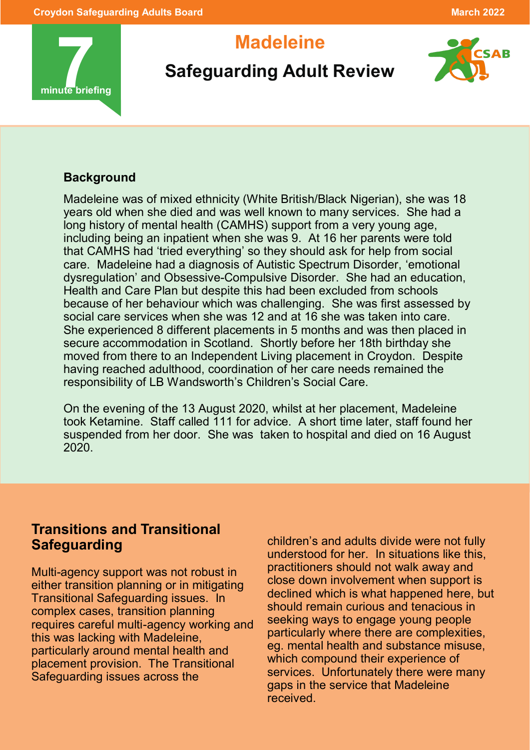

# **Madeleine**



## **Safeguarding Adult Review**

#### **Background**

Madeleine was of mixed ethnicity (White British/Black Nigerian), she was 18 years old when she died and was well known to many services. She had a long history of mental health (CAMHS) support from a very young age, including being an inpatient when she was 9. At 16 her parents were told that CAMHS had 'tried everything' so they should ask for help from social care. Madeleine had a diagnosis of Autistic Spectrum Disorder, 'emotional dysregulation' and Obsessive-Compulsive Disorder. She had an education, Health and Care Plan but despite this had been excluded from schools because of her behaviour which was challenging. She was first assessed by social care services when she was 12 and at 16 she was taken into care. She experienced 8 different placements in 5 months and was then placed in secure accommodation in Scotland. Shortly before her 18th birthday she moved from there to an Independent Living placement in Croydon. Despite having reached adulthood, coordination of her care needs remained the responsibility of LB Wandsworth's Children's Social Care.

On the evening of the 13 August 2020, whilst at her placement, Madeleine took Ketamine. Staff called 111 for advice. A short time later, staff found her suspended from her door. She was taken to hospital and died on 16 August 2020.

### **Transitions and Transitional Safeguarding**

Multi-agency support was not robust in either transition planning or in mitigating Transitional Safeguarding issues. In complex cases, transition planning requires careful multi-agency working and this was lacking with Madeleine, particularly around mental health and placement provision. The Transitional Safeguarding issues across the

children's and adults divide were not fully understood for her. In situations like this, practitioners should not walk away and close down involvement when support is declined which is what happened here, but should remain curious and tenacious in seeking ways to engage young people particularly where there are complexities, eg. mental health and substance misuse, which compound their experience of services. Unfortunately there were many gaps in the service that Madeleine received.